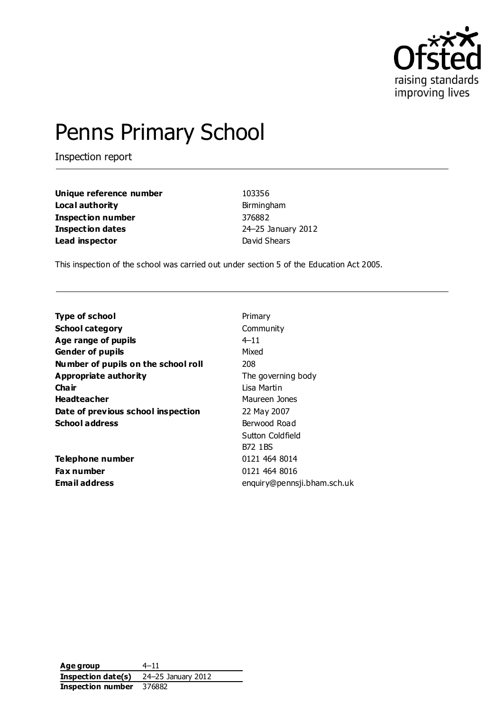

# Penns Primary School

Inspection report

| Unique reference number  |
|--------------------------|
| Local authority          |
| <b>Inspection number</b> |
| <b>Inspection dates</b>  |
| Lead inspector           |

**Unique reference number** 103356 **Local authority** Birmingham **Inspection number** 376882 **Inspection dates** 24–25 January 2012 **David Shears** 

This inspection of the school was carried out under section 5 of the Education Act 2005.

| <b>Type of school</b>               | Primary                     |
|-------------------------------------|-----------------------------|
| <b>School category</b>              | Community                   |
| Age range of pupils                 | $4 - 11$                    |
| <b>Gender of pupils</b>             | Mixed                       |
| Number of pupils on the school roll | 208                         |
| Appropriate authority               | The governing body          |
| Cha ir                              | Lisa Martin                 |
| <b>Headteacher</b>                  | Maureen Jones               |
| Date of previous school inspection  | 22 May 2007                 |
| <b>School address</b>               | Berwood Road                |
|                                     | Sutton Coldfield            |
|                                     | B72 1 BS                    |
| Telephone number                    | 0121 464 8014               |
| <b>Fax number</b>                   | 0121 464 8016               |
| Email address                       | enquiry@pennsji.bham.sch.uk |

**Age group** 4–11 **Inspection date(s)** 24–25 January 2012 **Inspection number** 376882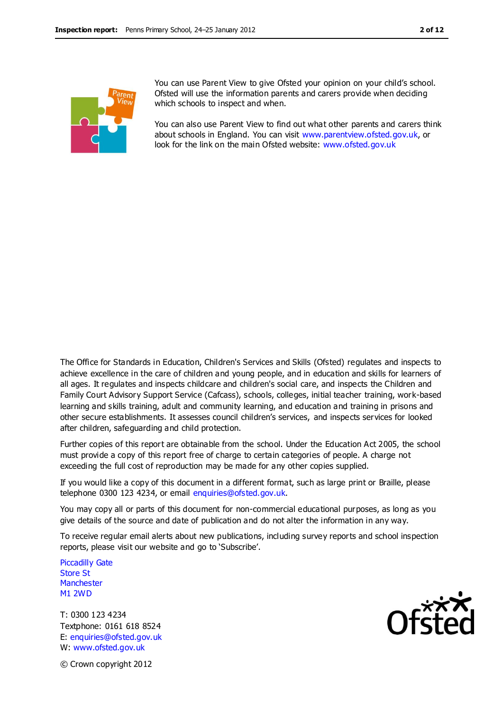

You can use Parent View to give Ofsted your opinion on your child's school. Ofsted will use the information parents and carers provide when deciding which schools to inspect and when.

You can also use Parent View to find out what other parents and carers think about schools in England. You can visit [www.parentview.ofsted.gov.uk,](http://www.parentview.ofsted.gov.uk/) or look for the link on the main Ofsted website: [www.ofsted.gov.uk](http://www.ofsted.gov.uk/)

The Office for Standards in Education, Children's Services and Skills (Ofsted) regulates and inspects to achieve excellence in the care of children and young people, and in education and skills for learners of all ages. It regulates and inspects childcare and children's social care, and inspects the Children and Family Court Advisory Support Service (Cafcass), schools, colleges, initial teacher training, work-based learning and skills training, adult and community learning, and education and training in prisons and other secure establishments. It assesses council children's services, and inspects services for looked after children, safeguarding and child protection.

Further copies of this report are obtainable from the school. Under the Education Act 2005, the school must provide a copy of this report free of charge to certain categories of people. A charge not exceeding the full cost of reproduction may be made for any other copies supplied.

If you would like a copy of this document in a different format, such as large print or Braille, please telephone 0300 123 4234, or email enquiries@ofsted.gov.uk.

You may copy all or parts of this document for non-commercial educational purposes, as long as you give details of the source and date of publication and do not alter the information in any way.

To receive regular email alerts about new publications, including survey reports and school inspection reports, please visit our website and go to 'Subscribe'.

Piccadilly Gate Store St **Manchester** M1 2WD

T: 0300 123 4234 Textphone: 0161 618 8524 E: enquiries@ofsted.gov.uk W: www.ofsted.gov.uk



© Crown copyright 2012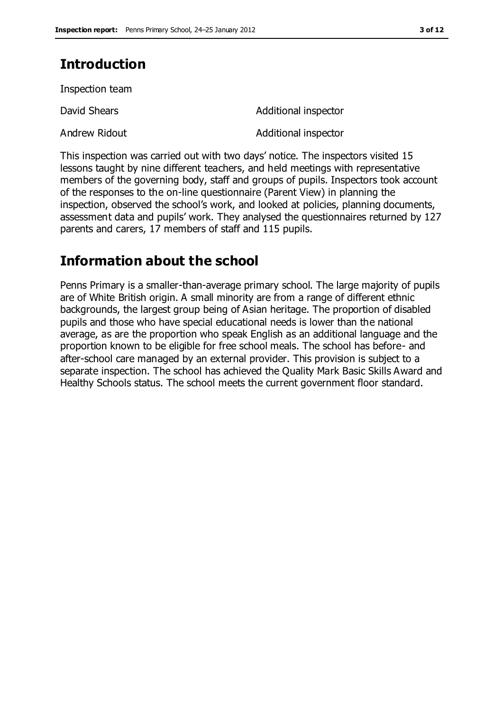# **Introduction**

Inspection team

David Shears **Additional inspector** 

Andrew Ridout **Andrew Ridout Additional inspector** 

This inspection was carried out with two days' notice. The inspectors visited 15 lessons taught by nine different teachers, and held meetings with representative members of the governing body, staff and groups of pupils. Inspectors took account of the responses to the on-line questionnaire (Parent View) in planning the inspection, observed the school's work, and looked at policies, planning documents, assessment data and pupils' work. They analysed the questionnaires returned by 127 parents and carers, 17 members of staff and 115 pupils.

# **Information about the school**

Penns Primary is a smaller-than-average primary school. The large majority of pupils are of White British origin. A small minority are from a range of different ethnic backgrounds, the largest group being of Asian heritage. The proportion of disabled pupils and those who have special educational needs is lower than the national average, as are the proportion who speak English as an additional language and the proportion known to be eligible for free school meals. The school has before- and after-school care managed by an external provider. This provision is subject to a separate inspection. The school has achieved the Quality Mark Basic Skills Award and Healthy Schools status. The school meets the current government floor standard.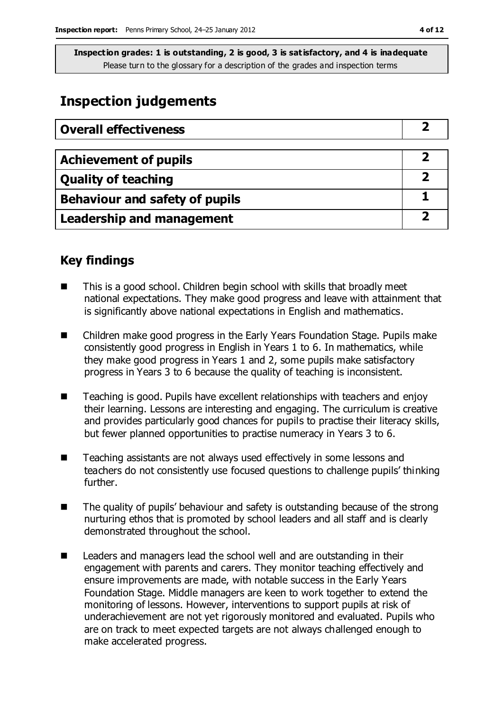# **Inspection judgements**

| <b>Overall effectiveness</b>     |  |
|----------------------------------|--|
|                                  |  |
| <b>Achievement of pupils</b>     |  |
| <b>Quality of teaching</b>       |  |
| Behaviour and safety of pupils   |  |
| <b>Leadership and management</b> |  |

### **Key findings**

- This is a good school. Children begin school with skills that broadly meet national expectations. They make good progress and leave with attainment that is significantly above national expectations in English and mathematics.
- Children make good progress in the Early Years Foundation Stage. Pupils make consistently good progress in English in Years 1 to 6. In mathematics, while they make good progress in Years 1 and 2, some pupils make satisfactory progress in Years 3 to 6 because the quality of teaching is inconsistent.
- Teaching is good. Pupils have excellent relationships with teachers and enjoy their learning. Lessons are interesting and engaging. The curriculum is creative and provides particularly good chances for pupils to practise their literacy skills, but fewer planned opportunities to practise numeracy in Years 3 to 6.
- Teaching assistants are not always used effectively in some lessons and teachers do not consistently use focused questions to challenge pupils' thinking further.
- $\blacksquare$  The quality of pupils' behaviour and safety is outstanding because of the strong nurturing ethos that is promoted by school leaders and all staff and is clearly demonstrated throughout the school.
- Leaders and managers lead the school well and are outstanding in their engagement with parents and carers. They monitor teaching effectively and ensure improvements are made, with notable success in the Early Years Foundation Stage. Middle managers are keen to work together to extend the monitoring of lessons. However, interventions to support pupils at risk of underachievement are not yet rigorously monitored and evaluated. Pupils who are on track to meet expected targets are not always challenged enough to make accelerated progress.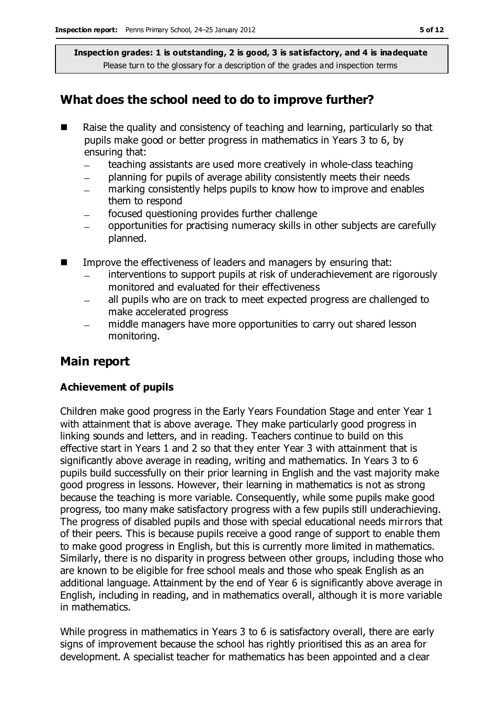## **What does the school need to do to improve further?**

- Raise the quality and consistency of teaching and learning, particularly so that pupils make good or better progress in mathematics in Years 3 to 6, by ensuring that:
	- teaching assistants are used more creatively in whole-class teaching
	- planning for pupils of average ability consistently meets their needs
	- marking consistently helps pupils to know how to improve and enables them to respond
	- focused questioning provides further challenge
	- opportunities for practising numeracy skills in other subjects are carefully planned.
- Improve the effectiveness of leaders and managers by ensuring that:
	- interventions to support pupils at risk of underachievement are rigorously monitored and evaluated for their effectiveness
	- all pupils who are on track to meet expected progress are challenged to  $\overline{\phantom{0}}$ make accelerated progress
	- middle managers have more opportunities to carry out shared lesson monitoring.

### **Main report**

#### **Achievement of pupils**

Children make good progress in the Early Years Foundation Stage and enter Year 1 with attainment that is above average. They make particularly good progress in linking sounds and letters, and in reading. Teachers continue to build on this effective start in Years 1 and 2 so that they enter Year 3 with attainment that is significantly above average in reading, writing and mathematics. In Years 3 to 6 pupils build successfully on their prior learning in English and the vast majority make good progress in lessons. However, their learning in mathematics is not as strong because the teaching is more variable. Consequently, while some pupils make good progress, too many make satisfactory progress with a few pupils still underachieving. The progress of disabled pupils and those with special educational needs mirrors that of their peers. This is because pupils receive a good range of support to enable them to make good progress in English, but this is currently more limited in mathematics. Similarly, there is no disparity in progress between other groups, including those who are known to be eligible for free school meals and those who speak English as an additional language. Attainment by the end of Year 6 is significantly above average in English, including in reading, and in mathematics overall, although it is more variable in mathematics.

While progress in mathematics in Years 3 to 6 is satisfactory overall, there are early signs of improvement because the school has rightly prioritised this as an area for development. A specialist teacher for mathematics has been appointed and a clear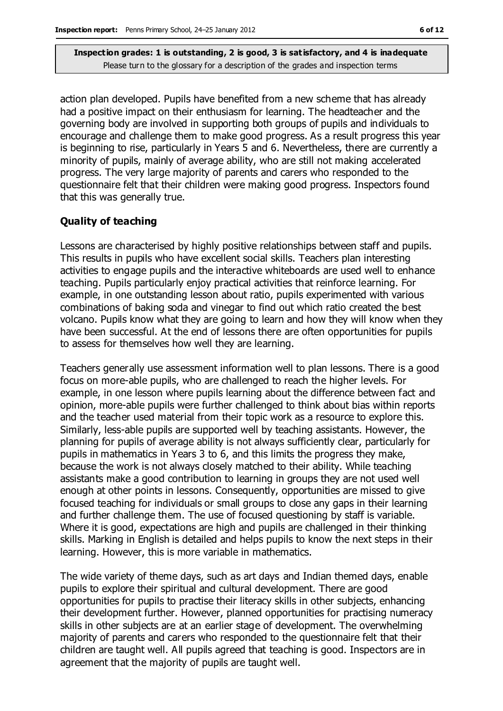action plan developed. Pupils have benefited from a new scheme that has already had a positive impact on their enthusiasm for learning. The headteacher and the governing body are involved in supporting both groups of pupils and individuals to encourage and challenge them to make good progress. As a result progress this year is beginning to rise, particularly in Years 5 and 6. Nevertheless, there are currently a minority of pupils, mainly of average ability, who are still not making accelerated progress. The very large majority of parents and carers who responded to the questionnaire felt that their children were making good progress. Inspectors found that this was generally true.

#### **Quality of teaching**

Lessons are characterised by highly positive relationships between staff and pupils. This results in pupils who have excellent social skills. Teachers plan interesting activities to engage pupils and the interactive whiteboards are used well to enhance teaching. Pupils particularly enjoy practical activities that reinforce learning. For example, in one outstanding lesson about ratio, pupils experimented with various combinations of baking soda and vinegar to find out which ratio created the best volcano. Pupils know what they are going to learn and how they will know when they have been successful. At the end of lessons there are often opportunities for pupils to assess for themselves how well they are learning.

Teachers generally use assessment information well to plan lessons. There is a good focus on more-able pupils, who are challenged to reach the higher levels. For example, in one lesson where pupils learning about the difference between fact and opinion, more-able pupils were further challenged to think about bias within reports and the teacher used material from their topic work as a resource to explore this. Similarly, less-able pupils are supported well by teaching assistants. However, the planning for pupils of average ability is not always sufficiently clear, particularly for pupils in mathematics in Years 3 to 6, and this limits the progress they make, because the work is not always closely matched to their ability. While teaching assistants make a good contribution to learning in groups they are not used well enough at other points in lessons. Consequently, opportunities are missed to give focused teaching for individuals or small groups to close any gaps in their learning and further challenge them. The use of focused questioning by staff is variable. Where it is good, expectations are high and pupils are challenged in their thinking skills. Marking in English is detailed and helps pupils to know the next steps in their learning. However, this is more variable in mathematics.

The wide variety of theme days, such as art days and Indian themed days, enable pupils to explore their spiritual and cultural development. There are good opportunities for pupils to practise their literacy skills in other subjects, enhancing their development further. However, planned opportunities for practising numeracy skills in other subjects are at an earlier stage of development. The overwhelming majority of parents and carers who responded to the questionnaire felt that their children are taught well. All pupils agreed that teaching is good. Inspectors are in agreement that the majority of pupils are taught well.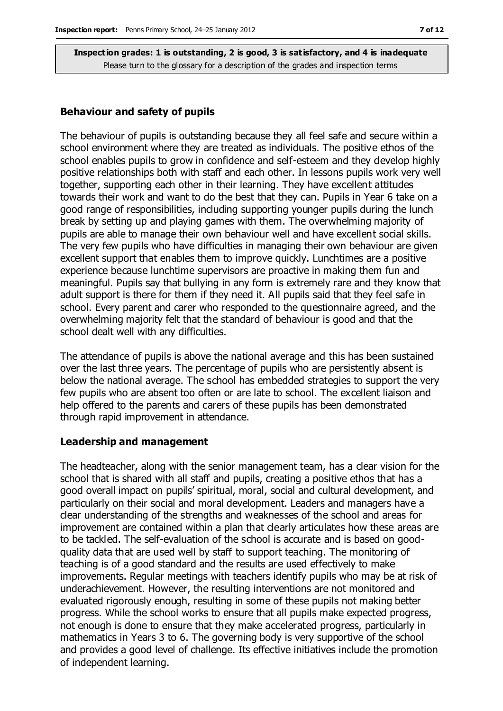#### **Behaviour and safety of pupils**

The behaviour of pupils is outstanding because they all feel safe and secure within a school environment where they are treated as individuals. The positive ethos of the school enables pupils to grow in confidence and self-esteem and they develop highly positive relationships both with staff and each other. In lessons pupils work very well together, supporting each other in their learning. They have excellent attitudes towards their work and want to do the best that they can. Pupils in Year 6 take on a good range of responsibilities, including supporting younger pupils during the lunch break by setting up and playing games with them. The overwhelming majority of pupils are able to manage their own behaviour well and have excellent social skills. The very few pupils who have difficulties in managing their own behaviour are given excellent support that enables them to improve quickly. Lunchtimes are a positive experience because lunchtime supervisors are proactive in making them fun and meaningful. Pupils say that bullying in any form is extremely rare and they know that adult support is there for them if they need it. All pupils said that they feel safe in school. Every parent and carer who responded to the questionnaire agreed, and the overwhelming majority felt that the standard of behaviour is good and that the school dealt well with any difficulties.

The attendance of pupils is above the national average and this has been sustained over the last three years. The percentage of pupils who are persistently absent is below the national average. The school has embedded strategies to support the very few pupils who are absent too often or are late to school. The excellent liaison and help offered to the parents and carers of these pupils has been demonstrated through rapid improvement in attendance.

#### **Leadership and management**

The headteacher, along with the senior management team, has a clear vision for the school that is shared with all staff and pupils, creating a positive ethos that has a good overall impact on pupils' spiritual, moral, social and cultural development, and particularly on their social and moral development. Leaders and managers have a clear understanding of the strengths and weaknesses of the school and areas for improvement are contained within a plan that clearly articulates how these areas are to be tackled. The self-evaluation of the school is accurate and is based on goodquality data that are used well by staff to support teaching. The monitoring of teaching is of a good standard and the results are used effectively to make improvements. Regular meetings with teachers identify pupils who may be at risk of underachievement. However, the resulting interventions are not monitored and evaluated rigorously enough, resulting in some of these pupils not making better progress. While the school works to ensure that all pupils make expected progress, not enough is done to ensure that they make accelerated progress, particularly in mathematics in Years 3 to 6. The governing body is very supportive of the school and provides a good level of challenge. Its effective initiatives include the promotion of independent learning.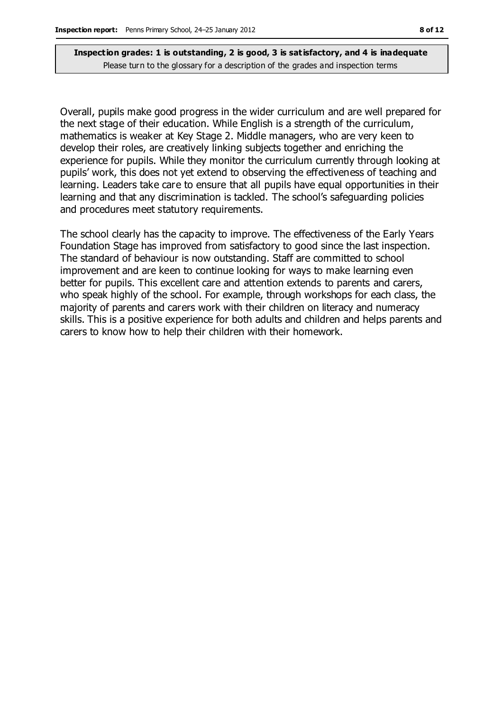Overall, pupils make good progress in the wider curriculum and are well prepared for the next stage of their education. While English is a strength of the curriculum, mathematics is weaker at Key Stage 2. Middle managers, who are very keen to develop their roles, are creatively linking subjects together and enriching the experience for pupils. While they monitor the curriculum currently through looking at pupils' work, this does not yet extend to observing the effectiveness of teaching and learning. Leaders take care to ensure that all pupils have equal opportunities in their learning and that any discrimination is tackled. The school's safeguarding policies and procedures meet statutory requirements.

The school clearly has the capacity to improve. The effectiveness of the Early Years Foundation Stage has improved from satisfactory to good since the last inspection. The standard of behaviour is now outstanding. Staff are committed to school improvement and are keen to continue looking for ways to make learning even better for pupils. This excellent care and attention extends to parents and carers, who speak highly of the school. For example, through workshops for each class, the majority of parents and carers work with their children on literacy and numeracy skills. This is a positive experience for both adults and children and helps parents and carers to know how to help their children with their homework.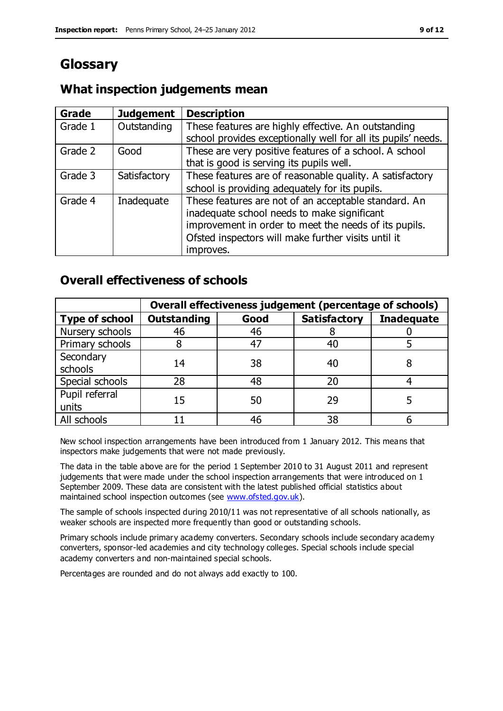# **Glossary**

### **What inspection judgements mean**

| <b>Grade</b> | <b>Judgement</b> | <b>Description</b>                                                                                                                                                                                                               |
|--------------|------------------|----------------------------------------------------------------------------------------------------------------------------------------------------------------------------------------------------------------------------------|
| Grade 1      | Outstanding      | These features are highly effective. An outstanding<br>school provides exceptionally well for all its pupils' needs.                                                                                                             |
| Grade 2      | Good             | These are very positive features of a school. A school<br>that is good is serving its pupils well.                                                                                                                               |
| Grade 3      | Satisfactory     | These features are of reasonable quality. A satisfactory<br>school is providing adequately for its pupils.                                                                                                                       |
| Grade 4      | Inadequate       | These features are not of an acceptable standard. An<br>inadequate school needs to make significant<br>improvement in order to meet the needs of its pupils.<br>Ofsted inspectors will make further visits until it<br>improves. |

### **Overall effectiveness of schools**

|                         | Overall effectiveness judgement (percentage of schools) |      |                     |                   |
|-------------------------|---------------------------------------------------------|------|---------------------|-------------------|
| <b>Type of school</b>   | <b>Outstanding</b>                                      | Good | <b>Satisfactory</b> | <b>Inadequate</b> |
| Nursery schools         | 46                                                      | 46   |                     |                   |
| Primary schools         |                                                         | 47   | 40                  |                   |
| Secondary<br>schools    | 14                                                      | 38   | 40                  |                   |
| Special schools         | 28                                                      | 48   | 20                  |                   |
| Pupil referral<br>units | 15                                                      | 50   | 29                  |                   |
| All schools             |                                                         | 46   | 38                  |                   |

New school inspection arrangements have been introduced from 1 January 2012. This means that inspectors make judgements that were not made previously.

The data in the table above are for the period 1 September 2010 to 31 August 2011 and represent judgements that were made under the school inspection arrangements that were introduced on 1 September 2009. These data are consistent with the latest published official statistics about maintained school inspection outcomes (see [www.ofsted.gov.uk\)](http://www.ofsted.gov.uk/).

The sample of schools inspected during 2010/11 was not representative of all schools nationally, as weaker schools are inspected more frequently than good or outstanding schools.

Primary schools include primary academy converters. Secondary schools include secondary academy converters, sponsor-led academies and city technology colleges. Special schools include special academy converters and non-maintained special schools.

Percentages are rounded and do not always add exactly to 100.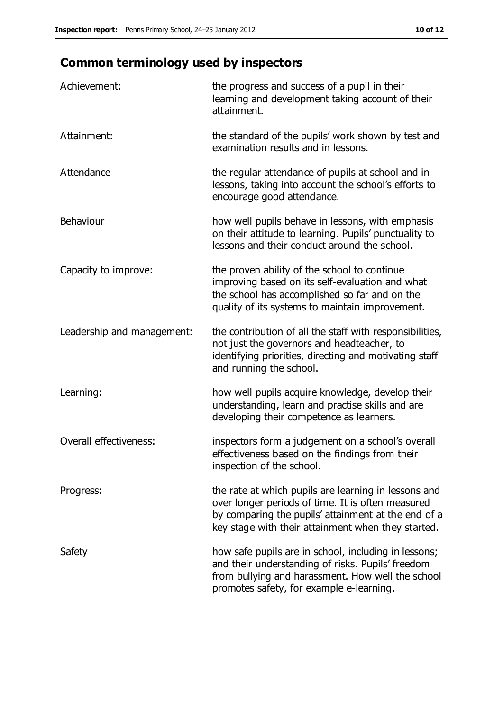# **Common terminology used by inspectors**

| Achievement:                  | the progress and success of a pupil in their<br>learning and development taking account of their<br>attainment.                                                                                                        |
|-------------------------------|------------------------------------------------------------------------------------------------------------------------------------------------------------------------------------------------------------------------|
| Attainment:                   | the standard of the pupils' work shown by test and<br>examination results and in lessons.                                                                                                                              |
| Attendance                    | the regular attendance of pupils at school and in<br>lessons, taking into account the school's efforts to<br>encourage good attendance.                                                                                |
| <b>Behaviour</b>              | how well pupils behave in lessons, with emphasis<br>on their attitude to learning. Pupils' punctuality to<br>lessons and their conduct around the school.                                                              |
| Capacity to improve:          | the proven ability of the school to continue<br>improving based on its self-evaluation and what<br>the school has accomplished so far and on the<br>quality of its systems to maintain improvement.                    |
| Leadership and management:    | the contribution of all the staff with responsibilities,<br>not just the governors and headteacher, to<br>identifying priorities, directing and motivating staff<br>and running the school.                            |
| Learning:                     | how well pupils acquire knowledge, develop their<br>understanding, learn and practise skills and are<br>developing their competence as learners.                                                                       |
| <b>Overall effectiveness:</b> | inspectors form a judgement on a school's overall<br>effectiveness based on the findings from their<br>inspection of the school.                                                                                       |
| Progress:                     | the rate at which pupils are learning in lessons and<br>over longer periods of time. It is often measured<br>by comparing the pupils' attainment at the end of a<br>key stage with their attainment when they started. |
| Safety                        | how safe pupils are in school, including in lessons;<br>and their understanding of risks. Pupils' freedom<br>from bullying and harassment. How well the school<br>promotes safety, for example e-learning.             |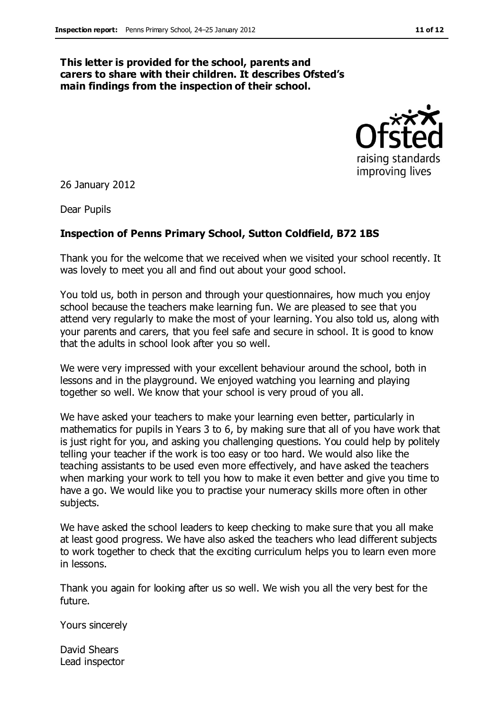#### **This letter is provided for the school, parents and carers to share with their children. It describes Ofsted's main findings from the inspection of their school.**



26 January 2012

Dear Pupils

#### **Inspection of Penns Primary School, Sutton Coldfield, B72 1BS**

Thank you for the welcome that we received when we visited your school recently. It was lovely to meet you all and find out about your good school.

You told us, both in person and through your questionnaires, how much you enjoy school because the teachers make learning fun. We are pleased to see that you attend very regularly to make the most of your learning. You also told us, along with your parents and carers, that you feel safe and secure in school. It is good to know that the adults in school look after you so well.

We were very impressed with your excellent behaviour around the school, both in lessons and in the playground. We enjoyed watching you learning and playing together so well. We know that your school is very proud of you all.

We have asked your teachers to make your learning even better, particularly in mathematics for pupils in Years 3 to 6, by making sure that all of you have work that is just right for you, and asking you challenging questions. You could help by politely telling your teacher if the work is too easy or too hard. We would also like the teaching assistants to be used even more effectively, and have asked the teachers when marking your work to tell you how to make it even better and give you time to have a go. We would like you to practise your numeracy skills more often in other subjects.

We have asked the school leaders to keep checking to make sure that you all make at least good progress. We have also asked the teachers who lead different subjects to work together to check that the exciting curriculum helps you to learn even more in lessons.

Thank you again for looking after us so well. We wish you all the very best for the future.

Yours sincerely

David Shears Lead inspector